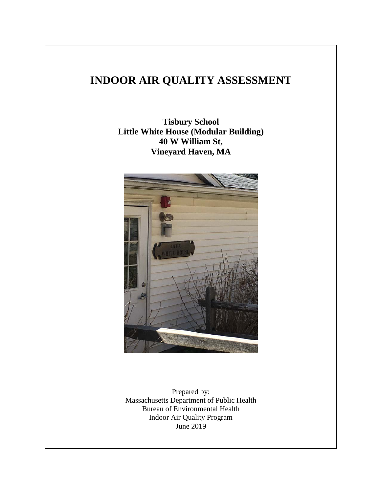# **INDOOR AIR QUALITY ASSESSMENT**

**Tisbury School Little White House (Modular Building) 40 W William St, Vineyard Haven, MA**



Prepared by: Massachusetts Department of Public Health Bureau of Environmental Health Indoor Air Quality Program June 2019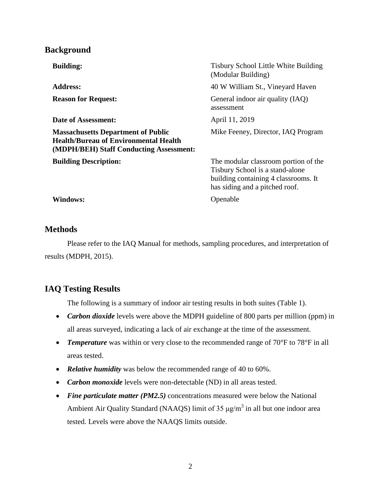# **Background**

| <b>Building:</b>                                                                                                                     | Tisbury School Little White Building<br>(Modular Building)                                                                                        |
|--------------------------------------------------------------------------------------------------------------------------------------|---------------------------------------------------------------------------------------------------------------------------------------------------|
| <b>Address:</b>                                                                                                                      | 40 W William St., Vineyard Haven                                                                                                                  |
| <b>Reason for Request:</b>                                                                                                           | General indoor air quality (IAQ)<br>assessment                                                                                                    |
| Date of Assessment:                                                                                                                  | April 11, 2019                                                                                                                                    |
| <b>Massachusetts Department of Public</b><br><b>Health/Bureau of Environmental Health</b><br>(MDPH/BEH) Staff Conducting Assessment: | Mike Feeney, Director, IAQ Program                                                                                                                |
| <b>Building Description:</b>                                                                                                         | The modular classroom portion of the<br>Tisbury School is a stand-alone<br>building containing 4 classrooms. It<br>has siding and a pitched roof. |
| Windows:                                                                                                                             | Openable                                                                                                                                          |

## **Methods**

Please refer to the IAQ Manual for methods, sampling procedures, and interpretation of results (MDPH, 2015).

# **IAQ Testing Results**

The following is a summary of indoor air testing results in both suites (Table 1).

- *Carbon dioxide* levels were above the MDPH guideline of 800 parts per million (ppm) in all areas surveyed, indicating a lack of air exchange at the time of the assessment.
- *Temperature* was within or very close to the recommended range of 70°F to 78°F in all areas tested.
- *Relative humidity* was below the recommended range of 40 to 60%.
- *Carbon monoxide* levels were non-detectable (ND) in all areas tested.
- *Fine particulate matter (PM2.5)* concentrations measured were below the National Ambient Air Quality Standard (NAAQS) limit of 35  $\mu$ g/m<sup>3</sup> in all but one indoor area tested. Levels were above the NAAQS limits outside.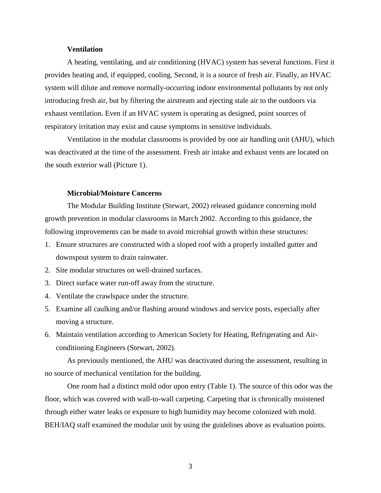#### **Ventilation**

A heating, ventilating, and air conditioning (HVAC) system has several functions. First it provides heating and, if equipped, cooling. Second, it is a source of fresh air. Finally, an HVAC system will dilute and remove normally-occurring indoor environmental pollutants by not only introducing fresh air, but by filtering the airstream and ejecting stale air to the outdoors via exhaust ventilation. Even if an HVAC system is operating as designed, point sources of respiratory irritation may exist and cause symptoms in sensitive individuals.

Ventilation in the modular classrooms is provided by one air handling unit (AHU), which was deactivated at the time of the assessment. Fresh air intake and exhaust vents are located on the south exterior wall (Picture 1).

#### **Microbial/Moisture Concerns**

The Modular Building Institute (Stewart, 2002) released guidance concerning mold growth prevention in modular classrooms in March 2002. According to this guidance, the following improvements can be made to avoid microbial growth within these structures:

- 1. Ensure structures are constructed with a sloped roof with a properly installed gutter and downspout system to drain rainwater.
- 2. Site modular structures on well-drained surfaces.
- 3. Direct surface water run-off away from the structure.
- 4. Ventilate the crawlspace under the structure.
- 5. Examine all caulking and/or flashing around windows and service posts, especially after moving a structure.
- 6. Maintain ventilation according to American Society for Heating, Refrigerating and Airconditioning Engineers (Stewart, 2002).

As previously mentioned, the AHU was deactivated during the assessment, resulting in no source of mechanical ventilation for the building.

One room had a distinct mold odor upon entry (Table 1). The source of this odor was the floor, which was covered with wall-to-wall carpeting. Carpeting that is chronically moistened through either water leaks or exposure to high humidity may become colonized with mold. BEH/IAQ staff examined the modular unit by using the guidelines above as evaluation points.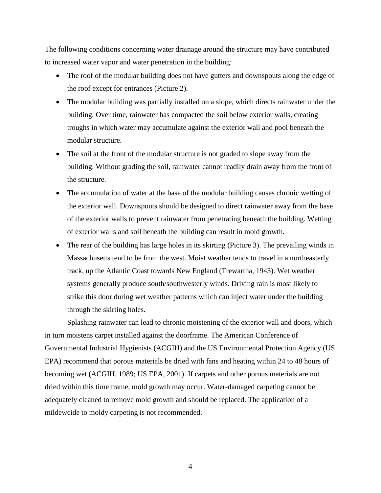The following conditions concerning water drainage around the structure may have contributed to increased water vapor and water penetration in the building:

- The roof of the modular building does not have gutters and downspouts along the edge of the roof except for entrances (Picture 2).
- The modular building was partially installed on a slope, which directs rainwater under the building. Over time, rainwater has compacted the soil below exterior walls, creating troughs in which water may accumulate against the exterior wall and pool beneath the modular structure.
- The soil at the front of the modular structure is not graded to slope away from the building. Without grading the soil, rainwater cannot readily drain away from the front of the structure.
- The accumulation of water at the base of the modular building causes chronic wetting of the exterior wall. Downspouts should be designed to direct rainwater away from the base of the exterior walls to prevent rainwater from penetrating beneath the building. Wetting of exterior walls and soil beneath the building can result in mold growth.
- The rear of the building has large holes in its skirting (Picture 3). The prevailing winds in Massachusetts tend to be from the west. Moist weather tends to travel in a northeasterly track, up the Atlantic Coast towards New England (Trewartha, 1943). Wet weather systems generally produce south/southwesterly winds. Driving rain is most likely to strike this door during wet weather patterns which can inject water under the building through the skirting holes.

Splashing rainwater can lead to chronic moistening of the exterior wall and doors, which in turn moistens carpet installed against the doorframe. The American Conference of Governmental Industrial Hygienists (ACGIH) and the US Environmental Protection Agency (US EPA) recommend that porous materials be dried with fans and heating within 24 to 48 hours of becoming wet (ACGIH, 1989; US EPA, 2001). If carpets and other porous materials are not dried within this time frame, mold growth may occur. Water-damaged carpeting cannot be adequately cleaned to remove mold growth and should be replaced. The application of a mildewcide to moldy carpeting is not recommended.

4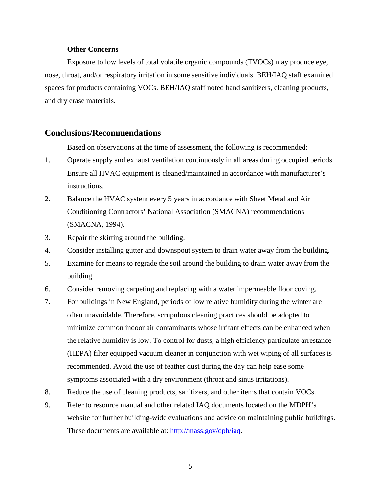#### **Other Concerns**

Exposure to low levels of total volatile organic compounds (TVOCs) may produce eye, nose, throat, and/or respiratory irritation in some sensitive individuals. BEH/IAQ staff examined spaces for products containing VOCs. BEH/IAQ staff noted hand sanitizers, cleaning products, and dry erase materials.

### **Conclusions/Recommendations**

Based on observations at the time of assessment, the following is recommended:

- 1. Operate supply and exhaust ventilation continuously in all areas during occupied periods. Ensure all HVAC equipment is cleaned/maintained in accordance with manufacturer's instructions.
- 2. Balance the HVAC system every 5 years in accordance with Sheet Metal and Air Conditioning Contractors' National Association (SMACNA) recommendations (SMACNA, 1994).
- 3. Repair the skirting around the building.
- 4. Consider installing gutter and downspout system to drain water away from the building.
- 5. Examine for means to regrade the soil around the building to drain water away from the building.
- 6. Consider removing carpeting and replacing with a water impermeable floor coving.
- 7. For buildings in New England, periods of low relative humidity during the winter are often unavoidable. Therefore, scrupulous cleaning practices should be adopted to minimize common indoor air contaminants whose irritant effects can be enhanced when the relative humidity is low. To control for dusts, a high efficiency particulate arrestance (HEPA) filter equipped vacuum cleaner in conjunction with wet wiping of all surfaces is recommended. Avoid the use of feather dust during the day can help ease some symptoms associated with a dry environment (throat and sinus irritations).
- 8. Reduce the use of cleaning products, sanitizers, and other items that contain VOCs.
- 9. Refer to resource manual and other related IAQ documents located on the MDPH's website for further building-wide evaluations and advice on maintaining public buildings. These documents are available at: http://mass.gov/dph/iaq.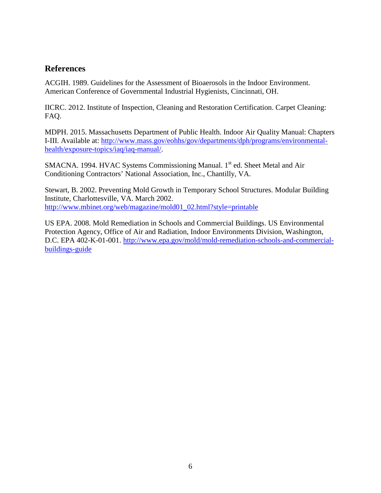# **References**

ACGIH. 1989. Guidelines for the Assessment of Bioaerosols in the Indoor Environment. American Conference of Governmental Industrial Hygienists, Cincinnati, OH.

IICRC. 2012. Institute of Inspection, Cleaning and Restoration Certification. Carpet Cleaning: FAQ.

MDPH. 2015. Massachusetts Department of Public Health. Indoor Air Quality Manual: Chapters I-III. Available at: http://www.mass.gov/eohhs/gov/departments/dph/programs/environmentalhealth/exposure-topics/iaq/iaq-manual/.

SMACNA. 1994. HVAC Systems Commissioning Manual. 1<sup>st</sup> ed. Sheet Metal and Air Conditioning Contractors' National Association, Inc., Chantilly, VA.

Stewart, B. 2002. Preventing Mold Growth in Temporary School Structures. Modular Building Institute, Charlottesville, VA. March 2002. http://www.mbinet.org/web/magazine/mold01\_02.html?style=printable

US EPA. 2008. Mold Remediation in Schools and Commercial Buildings. US Environmental Protection Agency, Office of Air and Radiation, Indoor Environments Division, Washington, D.C. EPA 402-K-01-001. http://www.epa.gov/mold/mold-remediation-schools-and-commercialbuildings-guide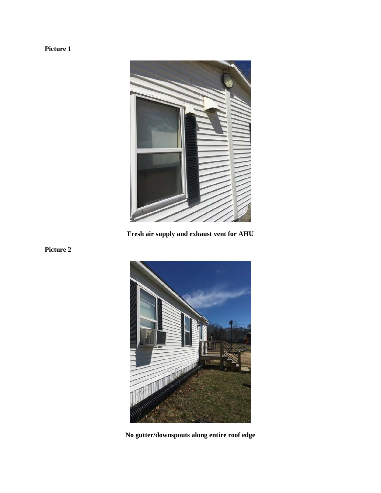# **Picture 1**



**Fresh air supply and exhaust vent for AHU**





**No gutter/downspouts along entire roof edge**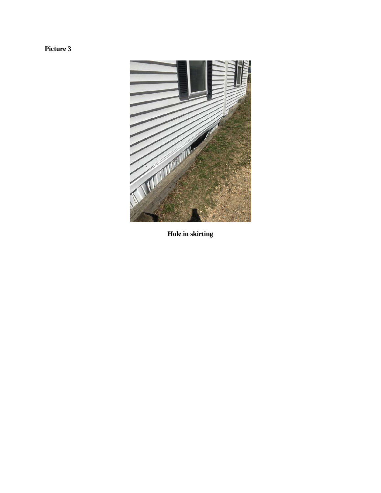**Picture 3**



**Hole in skirting**